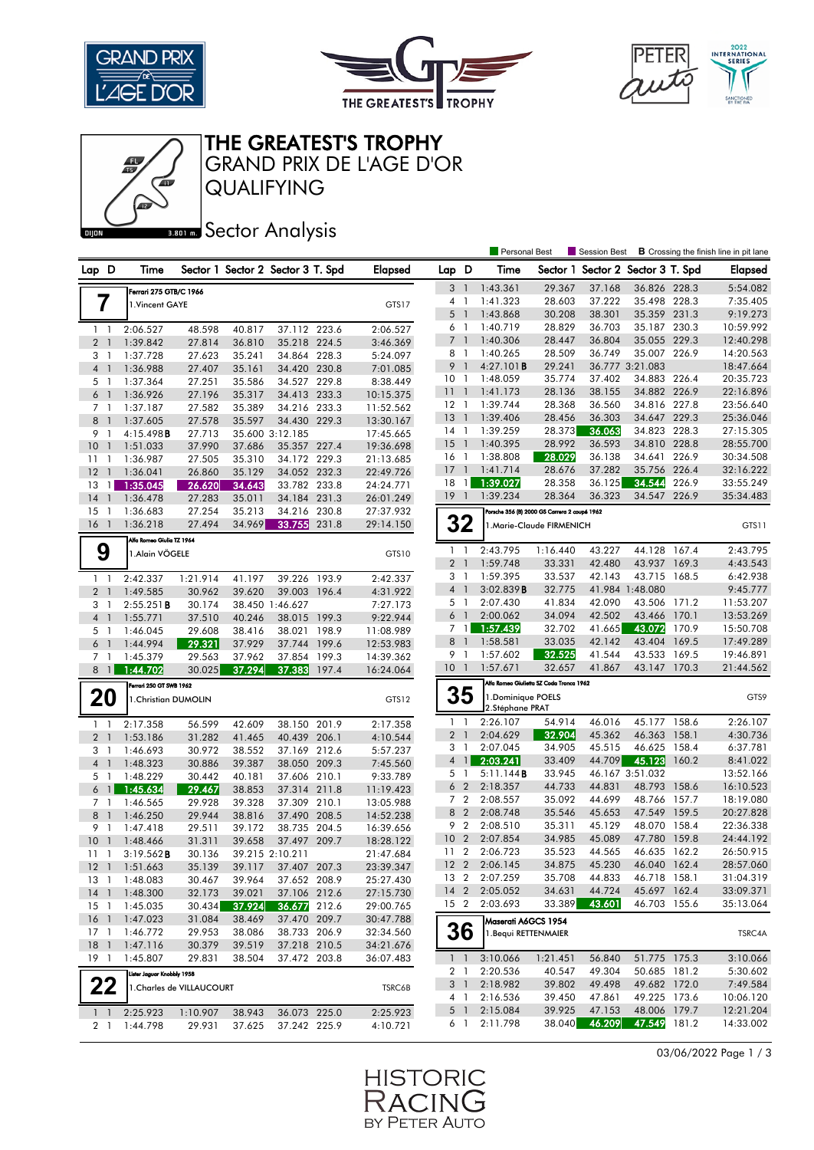





THE GREATEST'S TROPHY

QUALIFYING GRAND PRIX DE L'AGE D'OR

## **Bector Analysis**

|                                  |                            |                           |        |                                   |       |                |                                          |                          | Personal Best                         |                                              | Session Best                      |                        |       | <b>B</b> Crossing the finish line in pit lane |
|----------------------------------|----------------------------|---------------------------|--------|-----------------------------------|-------|----------------|------------------------------------------|--------------------------|---------------------------------------|----------------------------------------------|-----------------------------------|------------------------|-------|-----------------------------------------------|
| Lap D                            | Time                       |                           |        | Sector 1 Sector 2 Sector 3 T. Spd |       | <b>Elapsed</b> | Lap D                                    |                          | Time                                  |                                              | Sector 1 Sector 2 Sector 3 T. Spd |                        |       | <b>Elapsed</b>                                |
|                                  | Ferrari 275 GTB/C 1966     |                           |        |                                   |       |                | 3 <sup>1</sup>                           |                          | 1:43.361                              | 29.367                                       | 37.168                            | 36.826 228.3           |       | 5:54.082                                      |
| 7                                | 1. Vincent GAYE            |                           |        |                                   |       | GTS17          |                                          | $4-1$                    | 1:41.323                              | 28.603                                       | 37.222                            | 35.498 228.3           |       | 7:35.405                                      |
|                                  |                            |                           |        |                                   |       |                | 5                                        | $\overline{\phantom{0}}$ | 1:43.868                              | 30.208                                       | 38.301                            | 35.359 231.3           |       | 9:19.273                                      |
| 1 <sub>1</sub>                   | 2:06.527                   | 48.598                    | 40.817 | 37.112 223.6                      |       | 2:06.527       | 6                                        | -1                       | 1:40.719                              | 28.829                                       | 36.703                            | 35.187                 | 230.3 | 10:59.992                                     |
| 2 <sub>1</sub>                   | 1:39.842                   | 27.814                    | 36.810 | 35.218 224.5                      |       | 3:46.369       | 7 <sup>1</sup>                           |                          | 1:40.306                              | 28.447                                       | 36.804                            | 35.055 229.3           |       | 12:40.298                                     |
| 3 <sub>1</sub>                   | 1:37.728                   | 27.623                    | 35.241 | 34.864 228.3                      |       | 5:24.097       | 8                                        | $\overline{1}$           | 1:40.265                              | 28.509                                       | 36.749                            | 35.007 226.9           |       | 14:20.563                                     |
| $\overline{4}$<br>$\overline{1}$ | 1:36.988                   | 27.407                    | 35.161 | 34.420 230.8                      |       | 7:01.085       | 9                                        | $\overline{1}$           | 4:27.101 <b>B</b>                     | 29.241                                       |                                   | 36.777 3:21.083        |       | 18:47.664                                     |
| 5 <sub>1</sub>                   | 1:37.364                   | 27.251                    | 35.586 | 34.527 229.8                      |       | 8:38.449       | 10 <sub>1</sub>                          |                          | 1:48.059                              | 35.774                                       | 37.402                            | 34.883 226.4           |       | 20:35.723                                     |
| $6-1$                            | 1:36.926                   | 27.196                    | 35.317 | 34.413 233.3                      |       | 10:15.375      | 11                                       | $\mathbf{1}$             | 1:41.173                              | 28.136                                       | 38.155                            | 34.882 226.9           |       | 22:16.896                                     |
| 7 <sub>1</sub>                   | 1:37.187                   | 27.582                    | 35.389 | 34.216 233.3                      |       | 11:52.562      | $12-1$                                   |                          | 1:39.744                              | 28.368                                       | 36.560                            | 34.816 227.8           |       | 23:56.640                                     |
| 8<br>$\overline{1}$              | 1:37.605                   | 27.578                    | 35.597 | 34.430 229.3                      |       | 13:30.167      | 13                                       | $\overline{1}$           | 1:39.406                              | 28.456                                       | 36.303                            | 34.647 229.3           |       | 25:36.046                                     |
| 9<br>$\overline{1}$              | 4:15.498B                  | 27.713                    |        | 35.600 3:12.185                   |       | 17:45.665      | $14-1$                                   |                          | 1:39.259                              | 28.373                                       | 36.063                            | 34.823 228.3           |       | 27:15.305                                     |
| 10<br>$\overline{1}$             | 1:51.033                   | 37.990                    | 37.686 | 35.357 227.4                      |       | 19:36.698      | 15                                       | $\overline{1}$           | 1:40.395                              | 28.992                                       | 36.593                            | 34.810 228.8           |       | 28:55.700                                     |
| $11-1$                           | 1:36.987                   | 27.505                    | 35.310 | 34.172 229.3                      |       | 21:13.685      | $16-1$                                   |                          | 1:38.808                              | 28.029                                       | 36.138                            | 34.641 226.9           |       | 30:34.508                                     |
| 12<br>$\overline{1}$             | 1:36.041                   | 26.860                    | 35.129 | 34.052 232.3                      |       | 22:49.726      | 17                                       | $\mathbf{1}$             | 1:41.714                              | 28.676                                       | 37.282                            | 35.756 226.4           |       | 32:16.222                                     |
| 13<br>$\mathbf{1}$               | 1:35.045                   | 26.620                    | 34.643 | 33.782 233.8                      |       | 24:24.771      | 18                                       | 1                        | 1:39.027                              | 28.358                                       | 36.125                            | 34.544                 | 226.9 | 33:55.249                                     |
| 14<br>$\overline{1}$             | 1:36.478                   | 27.283                    | 35.011 | 34.184 231.3                      |       | 26:01.249      | $19-1$                                   |                          | 1:39.234                              | 28.364                                       | 36.323                            | 34.547 226.9           |       | 35:34.483                                     |
| 15<br>$\overline{1}$             | 1:36.683                   | 27.254                    | 35.213 | 34.216 230.8                      |       | 27:37.932      |                                          |                          |                                       | Porsche 356 (B) 2000 GS Carrera 2 coupé 1962 |                                   |                        |       |                                               |
| 16 <sub>1</sub>                  | 1:36.218                   | 27.494                    | 34.969 | 33.755                            | 231.8 | 29:14.150      |                                          | 32                       |                                       | 1.Marie-Claude FIRMENICH                     |                                   |                        |       | GTS11                                         |
|                                  | Alfa Romeo Giulia TZ 1964  |                           |        |                                   |       |                |                                          |                          |                                       |                                              |                                   |                        |       |                                               |
| 9                                | 1. Alain VÖGELE            |                           |        |                                   |       | GTS10          | $1\quad$                                 |                          | 2:43.795                              | 1:16.440                                     | 43.227                            | 44.128                 | 167.4 | 2:43.795                                      |
|                                  |                            |                           |        |                                   |       |                | 2 <sub>1</sub>                           |                          | 1:59.748                              | 33.331                                       | 42.480                            | 43.937 169.3           |       | 4:43.543                                      |
| $1\quad$                         | 2:42.337                   | 1:21.914                  | 41.197 | 39.226 193.9                      |       | 2:42.337       | 3 <sub>1</sub>                           |                          | 1:59.395                              | 33.537                                       | 42.143                            | 43.715                 | 168.5 | 6:42.938                                      |
| 2 <sub>1</sub>                   | 1:49.585                   | 30.962                    | 39.620 | 39.003 196.4                      |       | 4:31.922       | $\overline{4}$                           | $\overline{\phantom{a}}$ | 3:02.839B                             | 32.775                                       |                                   | 41.984 1:48.080        |       | 9:45.777                                      |
| 3<br>-1                          | 2:55.251B                  | 30.174                    |        | 38.450 1:46.627                   |       | 7:27.173       | 5 <sub>1</sub>                           |                          | 2:07.430                              | 41.834                                       | 42.090                            | 43.506 171.2           |       | 11:53.207                                     |
| 4 <sub>1</sub>                   | 1:55.771                   | 37.510                    | 40.246 | 38.015 199.3                      |       | 9:22.944       | 6 <sup>1</sup>                           |                          | 2:00.062                              | 34.094                                       | 42.502                            | 43.466                 | 170.1 | 13:53.269                                     |
| 5 <sub>1</sub>                   | 1:46.045                   | 29.608                    | 38.416 | 38.021                            | 198.9 | 11:08.989      |                                          | 7 <sup>1</sup>           | 1:57.439                              | 32.702                                       | 41.665                            | 43.072                 | 170.9 | 15:50.708                                     |
| $6-1$                            | 1:44.994                   | 29.321                    | 37.929 | 37.744 199.6                      |       | 12:53.983      | 8 <sup>1</sup>                           |                          | 1:58.581                              | 33.035                                       | 42.142                            | 43.404                 | 169.5 | 17:49.289                                     |
| 7 1                              | 1:45.379                   | 29.563                    | 37.962 | 37.854                            | 199.3 | 14:39.362      | 9 1<br>$10-1$                            |                          | 1:57.602                              | 32.525<br>32.657                             | 41.544<br>41.867                  | 43.533<br>43.147 170.3 | 169.5 | 19:46.891                                     |
| 8 <sup>1</sup>                   | 1:44.702                   | 30.025                    | 37.294 | 37.383 197.4                      |       | 16:24.064      |                                          |                          | 1:57.671                              |                                              |                                   |                        |       | 21:44.562                                     |
|                                  | Ferrari 250 GT SWB 1962    |                           |        |                                   |       |                | Alfa Romeo Giulietta SZ Coda Tronca 1962 |                          |                                       |                                              |                                   |                        |       |                                               |
| 20                               | 1. Christian DUMOLIN       |                           |        |                                   |       | GTS12          |                                          | 35                       | 1. Dominique POELS<br>2.Stéphane PRAT |                                              |                                   |                        |       | GTS9                                          |
| $\mathbf{1}$<br>-1               | 2:17.358                   | 56.599                    | 42.609 | 38.150 201.9                      |       | 2:17.358       | $1\quad$                                 |                          | 2:26.107                              | 54.914                                       | 46.016                            | 45.177                 | 158.6 | 2:26.107                                      |
| 2 <sub>1</sub>                   | 1:53.186                   | 31.282                    | 41.465 | 40.439 206.1                      |       | 4:10.544       |                                          | 2 <sub>1</sub>           | 2:04.629                              | 32.904                                       | 45.362                            | 46.363                 | 158.1 | 4:30.736                                      |
| 3<br>$\overline{1}$              | 1:46.693                   | 30.972                    | 38.552 | 37.169 212.6                      |       | 5:57.237       | 3                                        | $\mathbf{1}$             | 2:07.045                              | 34.905                                       | 45.515                            | 46.625                 | 158.4 | 6:37.781                                      |
| 4 <sub>1</sub>                   | 1:48.323                   | 30.886                    | 39.387 | 38.050 209.3                      |       | 7:45.560       |                                          | $4 \mid$                 | 2:03.241                              | 33.409                                       | 44.709                            | 45.123                 | 160.2 | 8:41.022                                      |
| 5 <sub>1</sub>                   | 1:48.229                   | 30.442                    | 40.181 | 37.606 210.1                      |       | 9:33.789       | $5-1$                                    |                          | 5:11.144B                             | 33.945                                       |                                   | 46.167 3:51.032        |       | 13:52.166                                     |
| 6<br>$\overline{1}$              | 1:45.634                   | 29.467                    | 38.853 | 37.314 211.8                      |       | 11:19.423      |                                          | 6 <sub>2</sub>           | 2:18.357                              | 44.733                                       | 44.831                            | 48.793                 | 158.6 | 16:10.523                                     |
| 7 <sub>1</sub>                   | 1:46.565                   | 29.928                    | 39.328 | 37.309 210.1                      |       | 13:05.988      |                                          | 7 <sup>2</sup>           | 2:08.557                              | 35.092                                       | 44.699                            | 48.766 157.7           |       | 18:19.080                                     |
| 8<br>$\overline{1}$              | 1:46.250                   | 29.944                    | 38.816 | 37.490 208.5                      |       | 14:52.238      | 8                                        | $\overline{2}$           | 2:08.748                              | 35.546                                       | 45.653                            | 47.549                 | 159.5 | 20:27.828                                     |
| 9<br>$\overline{1}$              | 1:47.418                   | 29.511                    | 39.172 | 38.735 204.5                      |       | 16:39.656      |                                          | 9 <sub>2</sub>           | 2:08.510                              | 35.311                                       | 45.129                            | 48.070                 | 158.4 | 22:36.338                                     |
| 10<br>$\overline{1}$             | 1:48.466                   | 31.311                    | 39.658 | 37.497 209.7                      |       | 18:28.122      | 10                                       | $\overline{2}$           | 2:07.854                              | 34.985                                       | 45.089                            | 47.780                 | 159.8 | 24:44.192                                     |
| 11<br>$\overline{1}$             | 3:19.562B                  | 30.136                    |        | 39.215 2:10.211                   |       | 21:47.684      | 11                                       | $\overline{2}$           | 2:06.723                              | 35.523                                       | 44.565                            | 46.635                 | 162.2 | 26:50.915                                     |
|                                  | 12 1 1:51.663              | 35.139                    | 39.117 | 37.407 207.3                      |       | 23:39.347      |                                          | 12 2                     | 2:06.145                              | 34.875                                       | 45.230                            | 46.040 162.4           |       | 28:57.060                                     |
| 13 1                             | 1:48.083                   | 30.467                    | 39.964 | 37.652 208.9                      |       | 25:27.430      |                                          | 13 2                     | 2:07.259                              | 35.708                                       | 44.833                            | 46.718 158.1           |       | 31:04.319                                     |
| $14-1$                           | 1:48.300                   | 32.173                    | 39.021 | 37.106 212.6                      |       | 27:15.730      | $14 \quad 2$                             |                          | 2:05.052                              | 34.631                                       | 44.724                            | 45.697 162.4           |       | 33:09.371                                     |
| $15-1$                           | 1:45.035                   | 30.434                    | 37.924 | 36.677 212.6                      |       | 29:00.765      | 15 <sub>2</sub>                          |                          | 2:03.693                              | 33.389                                       | 43.601                            | 46.703 155.6           |       | 35:13.064                                     |
| $16-1$                           | 1:47.023                   | 31.084                    | 38.469 | 37.470 209.7                      |       | 30:47.788      |                                          |                          | Maserati A6GCS 1954                   |                                              |                                   |                        |       |                                               |
| $17-1$                           | 1:46.772                   | 29.953                    | 38.086 | 38.733 206.9                      |       | 32:34.560      |                                          | 36                       | 1. Bequi RETTENMAIER                  |                                              |                                   |                        |       | TSRC4A                                        |
| $18-1$                           | 1:47.116                   | 30.379                    | 39.519 | 37.218 210.5                      |       | 34:21.676      |                                          |                          |                                       |                                              |                                   |                        |       |                                               |
| $19-1$                           | 1:45.807                   | 29.831                    | 38.504 | 37.472 203.8                      |       | 36:07.483      |                                          | $1\quad1$                | 3:10.066                              | 1:21.451                                     | 56.840                            | 51.775 175.3           |       | 3:10.066                                      |
|                                  | Lister Jaguar Knobbly 1958 |                           |        |                                   |       |                |                                          | 2 <sub>1</sub>           | 2:20.536                              | 40.547                                       | 49.304                            | 50.685 181.2           |       | 5:30.602                                      |
| 22                               |                            |                           |        |                                   |       |                |                                          | 3 <sup>1</sup>           | 2:18.982                              | 39.802                                       | 49.498                            | 49.682 172.0           |       | 7:49.584                                      |
|                                  |                            | 1. Charles de VILLAUCOURT |        |                                   |       | TSRC6B         |                                          | 4 1                      | 2:16.536                              | 39.450                                       | 47.861                            | 49.225 173.6           |       | 10:06.120                                     |
| $1\quad$                         | 2:25.923                   | 1:10.907                  | 38.943 | 36.073 225.0                      |       | 2:25.923       |                                          | 5 1                      | 2:15.084                              | 39.925                                       | 47.153                            | 48.006 179.7           |       | 12:21.204                                     |
| 2 1                              | 1:44.798                   | 29.931                    | 37.625 | 37.242 225.9                      |       | 4:10.721       |                                          | 6 1                      | 2:11.798                              | 38.040                                       | 46.209                            | 47.549 181.2           |       | 14:33.002                                     |
|                                  |                            |                           |        |                                   |       |                |                                          |                          |                                       |                                              |                                   |                        |       |                                               |

03/06/2022 Page 1 / 3

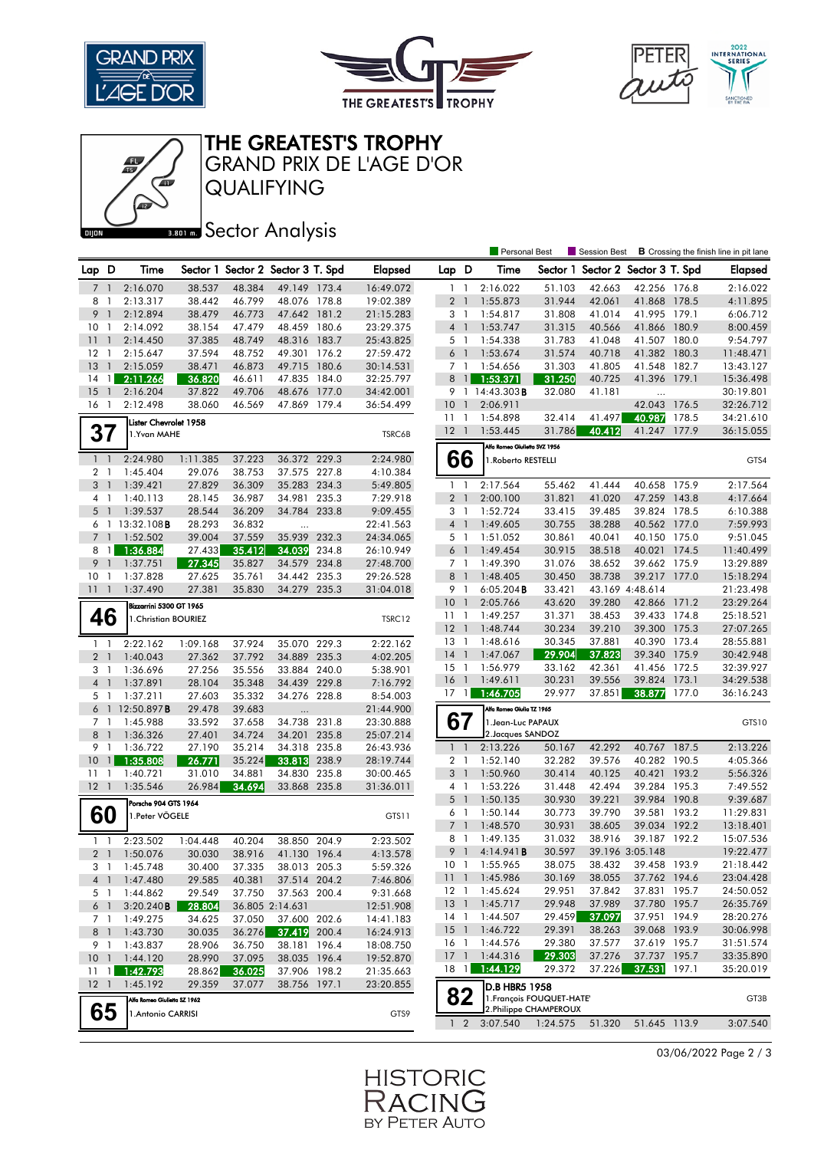





THE GREATEST'S TROPHY

GRAND PRIX DE L'AGE D'OR

QUALIFYING

## **BRONES** Sector Analysis

|                 |                |                              |          |        |                                   |       |                                                                                                                                                                                                                                                                                                                                                                                                                                                                                                                                                                                                                                                                                                                                                                                                                                                                                                                                                                                                                                                                                                                                                                                                                                                                                                                                                                                                                                                                                                                                                                              |                 | <b>Personal Best</b> |        | Session Best                      |              |       | <b>B</b> Crossing the finish line in pit lane |
|-----------------|----------------|------------------------------|----------|--------|-----------------------------------|-------|------------------------------------------------------------------------------------------------------------------------------------------------------------------------------------------------------------------------------------------------------------------------------------------------------------------------------------------------------------------------------------------------------------------------------------------------------------------------------------------------------------------------------------------------------------------------------------------------------------------------------------------------------------------------------------------------------------------------------------------------------------------------------------------------------------------------------------------------------------------------------------------------------------------------------------------------------------------------------------------------------------------------------------------------------------------------------------------------------------------------------------------------------------------------------------------------------------------------------------------------------------------------------------------------------------------------------------------------------------------------------------------------------------------------------------------------------------------------------------------------------------------------------------------------------------------------------|-----------------|----------------------|--------|-----------------------------------|--------------|-------|-----------------------------------------------|
| Lap D           |                | Time                         |          |        | Sector 1 Sector 2 Sector 3 T. Spd |       | <b>Elapsed</b>                                                                                                                                                                                                                                                                                                                                                                                                                                                                                                                                                                                                                                                                                                                                                                                                                                                                                                                                                                                                                                                                                                                                                                                                                                                                                                                                                                                                                                                                                                                                                               | Lap D           | Time                 |        | Sector 1 Sector 2 Sector 3 T. Spd |              |       | <b>Elapsed</b>                                |
| 7               | $\overline{1}$ | 2:16.070                     | 38.537   | 48.384 | 49.149 173.4                      |       | 16:49.072                                                                                                                                                                                                                                                                                                                                                                                                                                                                                                                                                                                                                                                                                                                                                                                                                                                                                                                                                                                                                                                                                                                                                                                                                                                                                                                                                                                                                                                                                                                                                                    | $1\quad$        | 2:16.022             | 51.103 | 42.663                            | 42.256 176.8 |       | 2:16.022                                      |
| 8               | $\mathbf{1}$   | 2:13.317                     | 38.442   | 46.799 | 48.076 178.8                      |       | 19:02.389                                                                                                                                                                                                                                                                                                                                                                                                                                                                                                                                                                                                                                                                                                                                                                                                                                                                                                                                                                                                                                                                                                                                                                                                                                                                                                                                                                                                                                                                                                                                                                    | 2 <sub>1</sub>  | 1:55.873             | 31.944 | 42.061                            | 41.868 178.5 |       | 4:11.895                                      |
| 9               | $\overline{1}$ | 2:12.894                     | 38.479   | 46.773 | 47.642 181.2                      |       | 21:15.283                                                                                                                                                                                                                                                                                                                                                                                                                                                                                                                                                                                                                                                                                                                                                                                                                                                                                                                                                                                                                                                                                                                                                                                                                                                                                                                                                                                                                                                                                                                                                                    | 3 1             | 1:54.817             | 31.808 | 41.014                            | 41.995 179.1 |       | 6:06.712                                      |
| 10              | -1             | 2:14.092                     | 38.154   | 47.479 | 48.459 180.6                      |       | 23:29.375                                                                                                                                                                                                                                                                                                                                                                                                                                                                                                                                                                                                                                                                                                                                                                                                                                                                                                                                                                                                                                                                                                                                                                                                                                                                                                                                                                                                                                                                                                                                                                    | 4 <sup>1</sup>  | 1:53.747             | 31.315 | 40.566                            | 41.866 180.9 |       | 8:00.459                                      |
| 11              | $\overline{1}$ | 2:14.450                     | 37.385   | 48.749 | 48.316 183.7                      |       | 25:43.825                                                                                                                                                                                                                                                                                                                                                                                                                                                                                                                                                                                                                                                                                                                                                                                                                                                                                                                                                                                                                                                                                                                                                                                                                                                                                                                                                                                                                                                                                                                                                                    | 5 1             | 1:54.338             | 31.783 | 41.048                            | 41.507 180.0 |       | 9:54.797                                      |
| 12              | $\overline{1}$ | 2:15.647                     | 37.594   | 48.752 | 49.301 176.2                      |       | 27:59.472                                                                                                                                                                                                                                                                                                                                                                                                                                                                                                                                                                                                                                                                                                                                                                                                                                                                                                                                                                                                                                                                                                                                                                                                                                                                                                                                                                                                                                                                                                                                                                    | $6-1$           | 1:53.674             | 31.574 | 40.718                            | 41.382       | 180.3 | 11:48.471                                     |
| 13              | $\mathbf{1}$   | 2:15.059                     | 38.471   | 46.873 | 49.715 180.6                      |       | 30:14.531                                                                                                                                                                                                                                                                                                                                                                                                                                                                                                                                                                                                                                                                                                                                                                                                                                                                                                                                                                                                                                                                                                                                                                                                                                                                                                                                                                                                                                                                                                                                                                    | 7 <sub>1</sub>  | 1:54.656             | 31.303 | 41.805                            | 41.548 182.7 |       | 13:43.127                                     |
| 14              | $\overline{1}$ | 2:11.266                     | 36.820   | 46.611 | 47.835                            | 184.0 | 32:25.797                                                                                                                                                                                                                                                                                                                                                                                                                                                                                                                                                                                                                                                                                                                                                                                                                                                                                                                                                                                                                                                                                                                                                                                                                                                                                                                                                                                                                                                                                                                                                                    | 8               | 1:53.371             | 31.250 | 40.725                            |              | 179.1 | 15:36.498                                     |
| 15              | $\overline{1}$ | 2:16.204                     | 37.822   | 49.706 | 48.676                            | 177.0 | 34:42.001                                                                                                                                                                                                                                                                                                                                                                                                                                                                                                                                                                                                                                                                                                                                                                                                                                                                                                                                                                                                                                                                                                                                                                                                                                                                                                                                                                                                                                                                                                                                                                    |                 |                      | 32.080 | 41.181                            | .            |       | 30:19.801                                     |
| 16 1            |                | 2:12.498                     | 38.060   | 46.569 | 47.869 179.4                      |       | 36:54.499                                                                                                                                                                                                                                                                                                                                                                                                                                                                                                                                                                                                                                                                                                                                                                                                                                                                                                                                                                                                                                                                                                                                                                                                                                                                                                                                                                                                                                                                                                                                                                    | 10 <sup>°</sup> | 2:06.911             |        |                                   |              | 176.5 | 32:26.712                                     |
|                 |                | Lister Chevrolet 1958        |          |        |                                   |       |                                                                                                                                                                                                                                                                                                                                                                                                                                                                                                                                                                                                                                                                                                                                                                                                                                                                                                                                                                                                                                                                                                                                                                                                                                                                                                                                                                                                                                                                                                                                                                              | 11              | 1:54.898             | 32.414 | 41.497                            | 40.987       | 178.5 | 34:21.610                                     |
| 37              |                | 1.Yvan MAHE                  |          |        |                                   |       |                                                                                                                                                                                                                                                                                                                                                                                                                                                                                                                                                                                                                                                                                                                                                                                                                                                                                                                                                                                                                                                                                                                                                                                                                                                                                                                                                                                                                                                                                                                                                                              |                 | 1:53.445             | 31.786 | 40.412                            |              |       | 36:15.055                                     |
|                 |                |                              |          |        |                                   |       |                                                                                                                                                                                                                                                                                                                                                                                                                                                                                                                                                                                                                                                                                                                                                                                                                                                                                                                                                                                                                                                                                                                                                                                                                                                                                                                                                                                                                                                                                                                                                                              |                 |                      |        |                                   |              |       |                                               |
|                 | $1\quad$       | 2:24.980                     | 1:11.385 | 37.223 | 36.372 229.3                      |       | 2:24.980                                                                                                                                                                                                                                                                                                                                                                                                                                                                                                                                                                                                                                                                                                                                                                                                                                                                                                                                                                                                                                                                                                                                                                                                                                                                                                                                                                                                                                                                                                                                                                     |                 |                      |        |                                   |              |       | GTS4                                          |
| 2 1             |                | 1:45.404                     | 29.076   | 38.753 | 37.575 227.8                      |       | 4:10.384                                                                                                                                                                                                                                                                                                                                                                                                                                                                                                                                                                                                                                                                                                                                                                                                                                                                                                                                                                                                                                                                                                                                                                                                                                                                                                                                                                                                                                                                                                                                                                     |                 |                      |        |                                   |              |       |                                               |
| 3 <sup>1</sup>  |                | 1:39.421                     | 27.829   | 36.309 | 35.283 234.3                      |       |                                                                                                                                                                                                                                                                                                                                                                                                                                                                                                                                                                                                                                                                                                                                                                                                                                                                                                                                                                                                                                                                                                                                                                                                                                                                                                                                                                                                                                                                                                                                                                              |                 |                      |        | 41.444                            |              |       |                                               |
| 4 <sub>1</sub>  |                | 1:40.113                     | 28.145   | 36.987 | 34.981                            | 235.3 | 7:29.918                                                                                                                                                                                                                                                                                                                                                                                                                                                                                                                                                                                                                                                                                                                                                                                                                                                                                                                                                                                                                                                                                                                                                                                                                                                                                                                                                                                                                                                                                                                                                                     |                 | 2:00.100             | 31.821 | 41.020                            |              |       | 4:17.664                                      |
|                 | 5 <sub>1</sub> | 1:39.537                     | 28.544   | 36.209 | 34.784 233.8                      |       | 9:09.455                                                                                                                                                                                                                                                                                                                                                                                                                                                                                                                                                                                                                                                                                                                                                                                                                                                                                                                                                                                                                                                                                                                                                                                                                                                                                                                                                                                                                                                                                                                                                                     |                 | 1:52.724             | 33.415 | 39.485                            |              |       | 6:10.388                                      |
|                 |                | $6$ 1 13:32.108 <b>B</b>     | 28.293   | 36.832 |                                   |       | 22:41.563                                                                                                                                                                                                                                                                                                                                                                                                                                                                                                                                                                                                                                                                                                                                                                                                                                                                                                                                                                                                                                                                                                                                                                                                                                                                                                                                                                                                                                                                                                                                                                    |                 | 1:49.605             | 30.755 | 38.288                            |              |       |                                               |
|                 | 7 <sub>1</sub> | 1:52.502                     | 39.004   | 37.559 | 35.939                            | 232.3 | 24:34.065                                                                                                                                                                                                                                                                                                                                                                                                                                                                                                                                                                                                                                                                                                                                                                                                                                                                                                                                                                                                                                                                                                                                                                                                                                                                                                                                                                                                                                                                                                                                                                    |                 | 1:51.052             | 30.861 | 40.041                            |              |       | 9:51.045                                      |
| 8               | $\overline{1}$ | 1:36.884                     | 27.433   | 35.412 | 34.039                            | 234.8 | 26:10.949                                                                                                                                                                                                                                                                                                                                                                                                                                                                                                                                                                                                                                                                                                                                                                                                                                                                                                                                                                                                                                                                                                                                                                                                                                                                                                                                                                                                                                                                                                                                                                    |                 | 1:49.454             | 30.915 | 38.518                            | 40.021       | 174.5 | 11:40.499                                     |
| 9               | $\overline{1}$ | 1:37.751                     | 27.345   | 35.827 | 34.579 234.8                      |       | 27:48.700                                                                                                                                                                                                                                                                                                                                                                                                                                                                                                                                                                                                                                                                                                                                                                                                                                                                                                                                                                                                                                                                                                                                                                                                                                                                                                                                                                                                                                                                                                                                                                    |                 | 1:49.390             | 31.076 | 38.652                            |              |       | 13:29.889                                     |
| 10 <sub>1</sub> |                | 1:37.828                     | 27.625   | 35.761 | 34.442 235.3                      |       | 29:26.528                                                                                                                                                                                                                                                                                                                                                                                                                                                                                                                                                                                                                                                                                                                                                                                                                                                                                                                                                                                                                                                                                                                                                                                                                                                                                                                                                                                                                                                                                                                                                                    |                 | 1:48.405             | 30.450 | 38.738                            |              |       | 15:18.294                                     |
| 11              | $\overline{1}$ | 1:37.490                     | 27.381   | 35.830 | 34.279 235.3                      |       | 31:04.018                                                                                                                                                                                                                                                                                                                                                                                                                                                                                                                                                                                                                                                                                                                                                                                                                                                                                                                                                                                                                                                                                                                                                                                                                                                                                                                                                                                                                                                                                                                                                                    |                 | $6:05.204$ B         | 33.421 |                                   |              |       | 21:23.498                                     |
|                 |                | Bizzarrini 5300 GT 1965      |          |        |                                   |       |                                                                                                                                                                                                                                                                                                                                                                                                                                                                                                                                                                                                                                                                                                                                                                                                                                                                                                                                                                                                                                                                                                                                                                                                                                                                                                                                                                                                                                                                                                                                                                              |                 | 2:05.766             | 43.620 | 39.280                            |              |       | 23:29.264                                     |
|                 | 46             | 1. Christian BOURIEZ         |          |        |                                   |       |                                                                                                                                                                                                                                                                                                                                                                                                                                                                                                                                                                                                                                                                                                                                                                                                                                                                                                                                                                                                                                                                                                                                                                                                                                                                                                                                                                                                                                                                                                                                                                              |                 | 1:49.257             | 31.371 | 38.453                            |              |       | 25:18.521                                     |
|                 |                |                              |          |        |                                   |       |                                                                                                                                                                                                                                                                                                                                                                                                                                                                                                                                                                                                                                                                                                                                                                                                                                                                                                                                                                                                                                                                                                                                                                                                                                                                                                                                                                                                                                                                                                                                                                              |                 | 1:48.744             | 30.234 | 39.210                            |              |       | 27:07.265                                     |
| $1\quad$        |                | 2:22.162                     | 1:09.168 | 37.924 | 35.070 229.3                      |       |                                                                                                                                                                                                                                                                                                                                                                                                                                                                                                                                                                                                                                                                                                                                                                                                                                                                                                                                                                                                                                                                                                                                                                                                                                                                                                                                                                                                                                                                                                                                                                              |                 | 1:48.616             | 30.345 | 37.881                            |              |       | 28:55.881                                     |
| 2 <sub>1</sub>  |                | 1:40.043                     | 27.362   | 37.792 | 34.889                            | 235.3 |                                                                                                                                                                                                                                                                                                                                                                                                                                                                                                                                                                                                                                                                                                                                                                                                                                                                                                                                                                                                                                                                                                                                                                                                                                                                                                                                                                                                                                                                                                                                                                              |                 | 1:47.067             |        | 37.823                            |              |       | 30:42.948                                     |
| 3 1             |                | 1:36.696                     | 27.256   | 35.556 | 33.884 240.0                      |       | 5:38.901                                                                                                                                                                                                                                                                                                                                                                                                                                                                                                                                                                                                                                                                                                                                                                                                                                                                                                                                                                                                                                                                                                                                                                                                                                                                                                                                                                                                                                                                                                                                                                     |                 | 1:56.979             | 33.162 | 42.361                            |              | 172.5 | 32:39.927                                     |
| 4 <sub>1</sub>  |                | 1:37.891                     | 28.104   | 35.348 | 34.439 229.8                      |       |                                                                                                                                                                                                                                                                                                                                                                                                                                                                                                                                                                                                                                                                                                                                                                                                                                                                                                                                                                                                                                                                                                                                                                                                                                                                                                                                                                                                                                                                                                                                                                              |                 | 1:49.611             | 30.231 | 39.556                            |              |       | 34:29.538                                     |
| 5 <sub>1</sub>  |                | 1:37.211                     | 27.603   | 35.332 | 34.276 228.8                      |       | 8:54.003                                                                                                                                                                                                                                                                                                                                                                                                                                                                                                                                                                                                                                                                                                                                                                                                                                                                                                                                                                                                                                                                                                                                                                                                                                                                                                                                                                                                                                                                                                                                                                     |                 | 1:46.705             | 29.977 | 37.851                            |              | 177.0 | 36:16.243                                     |
|                 |                | 6 1 12:50.897 <b>B</b>       | 29.478   | 39.683 |                                   |       | 21:44.900                                                                                                                                                                                                                                                                                                                                                                                                                                                                                                                                                                                                                                                                                                                                                                                                                                                                                                                                                                                                                                                                                                                                                                                                                                                                                                                                                                                                                                                                                                                                                                    |                 |                      |        |                                   |              |       |                                               |
| 7 <sub>1</sub>  |                | 1:45.988                     | 33.592   | 37.658 | 34.738 231.8                      |       | 23:30.888                                                                                                                                                                                                                                                                                                                                                                                                                                                                                                                                                                                                                                                                                                                                                                                                                                                                                                                                                                                                                                                                                                                                                                                                                                                                                                                                                                                                                                                                                                                                                                    |                 |                      |        |                                   |              |       | GTS10                                         |
| 8               | $\overline{1}$ | 1:36.326                     | 27.401   | 34.724 | 34.201                            | 235.8 | 25:07.214                                                                                                                                                                                                                                                                                                                                                                                                                                                                                                                                                                                                                                                                                                                                                                                                                                                                                                                                                                                                                                                                                                                                                                                                                                                                                                                                                                                                                                                                                                                                                                    |                 |                      |        |                                   |              |       |                                               |
| 9               | $\mathbf{1}$   | 1:36.722                     | 27.190   | 35.214 | 34.318 235.8                      |       | 26:43.936                                                                                                                                                                                                                                                                                                                                                                                                                                                                                                                                                                                                                                                                                                                                                                                                                                                                                                                                                                                                                                                                                                                                                                                                                                                                                                                                                                                                                                                                                                                                                                    |                 | 2:13.226             | 50.167 | 42.292                            |              |       | 2:13.226                                      |
| 10              | $\overline{1}$ | 1:35.808                     | 26.771   | 35.224 | 33.813 238.9                      |       | 28:19.744                                                                                                                                                                                                                                                                                                                                                                                                                                                                                                                                                                                                                                                                                                                                                                                                                                                                                                                                                                                                                                                                                                                                                                                                                                                                                                                                                                                                                                                                                                                                                                    |                 | 1:52.140             | 32.282 | 39.576                            |              |       | 4:05.366                                      |
| 11              | -1             | 1:40.721                     | 31.010   | 34.881 | 34.830                            | 235.8 | 30:00.465                                                                                                                                                                                                                                                                                                                                                                                                                                                                                                                                                                                                                                                                                                                                                                                                                                                                                                                                                                                                                                                                                                                                                                                                                                                                                                                                                                                                                                                                                                                                                                    | 3               | 1:50.960             | 30.414 | 40.125                            | 40.421       | 193.2 | 5:56.326                                      |
| $12-1$          |                | 1:35.546                     | 26.984   | 34.694 | 33.868 235.8                      |       | 31:36.011                                                                                                                                                                                                                                                                                                                                                                                                                                                                                                                                                                                                                                                                                                                                                                                                                                                                                                                                                                                                                                                                                                                                                                                                                                                                                                                                                                                                                                                                                                                                                                    | 4               | 1:53.226             | 31.448 | 42.494                            |              | 195.3 | 7:49.552                                      |
|                 |                | Porsche 904 GTS 1964         |          |        |                                   |       |                                                                                                                                                                                                                                                                                                                                                                                                                                                                                                                                                                                                                                                                                                                                                                                                                                                                                                                                                                                                                                                                                                                                                                                                                                                                                                                                                                                                                                                                                                                                                                              |                 | 1:50.135             | 30.930 | 39.221                            |              |       | 9:39.687                                      |
|                 | 60             | 1.Peter VÖGELE               |          |        |                                   |       |                                                                                                                                                                                                                                                                                                                                                                                                                                                                                                                                                                                                                                                                                                                                                                                                                                                                                                                                                                                                                                                                                                                                                                                                                                                                                                                                                                                                                                                                                                                                                                              |                 | 1:50.144             | 30.773 | 39.790                            |              |       | 11:29.831                                     |
|                 |                |                              |          |        |                                   |       |                                                                                                                                                                                                                                                                                                                                                                                                                                                                                                                                                                                                                                                                                                                                                                                                                                                                                                                                                                                                                                                                                                                                                                                                                                                                                                                                                                                                                                                                                                                                                                              |                 | 1:48.570             | 30.931 | 38.605                            |              |       | 13:18.401                                     |
| $1\quad$        |                | 2:23.502                     | 1:04.448 | 40.204 | 38.850 204.9                      |       |                                                                                                                                                                                                                                                                                                                                                                                                                                                                                                                                                                                                                                                                                                                                                                                                                                                                                                                                                                                                                                                                                                                                                                                                                                                                                                                                                                                                                                                                                                                                                                              |                 | 1:49.135             | 31.032 | 38.916                            |              |       | 15:07.536                                     |
|                 | 2 <sub>1</sub> | 1:50.076                     | 30.030   | 38.916 | 41.130 196.4                      |       |                                                                                                                                                                                                                                                                                                                                                                                                                                                                                                                                                                                                                                                                                                                                                                                                                                                                                                                                                                                                                                                                                                                                                                                                                                                                                                                                                                                                                                                                                                                                                                              |                 | 4:14.941B            | 30.597 |                                   |              |       | 19:22.477                                     |
|                 | 31             | 1:45.748                     | 30.400   | 37.335 | 38.013 205.3                      |       | 5:59.326                                                                                                                                                                                                                                                                                                                                                                                                                                                                                                                                                                                                                                                                                                                                                                                                                                                                                                                                                                                                                                                                                                                                                                                                                                                                                                                                                                                                                                                                                                                                                                     | 10              | 1:55.965             | 38.075 | 38.432                            |              |       | 21:18.442                                     |
|                 | 4 <sup>1</sup> | 1:47.480                     | 29.585   | 40.381 | 37.514 204.2                      |       |                                                                                                                                                                                                                                                                                                                                                                                                                                                                                                                                                                                                                                                                                                                                                                                                                                                                                                                                                                                                                                                                                                                                                                                                                                                                                                                                                                                                                                                                                                                                                                              |                 | 1:45.986             | 30.169 | 38.055                            |              |       | 23:04.428                                     |
|                 | 5 1            | 1:44.862                     | 29.549   | 37.750 | 37.563 200.4                      |       | 9:31.668                                                                                                                                                                                                                                                                                                                                                                                                                                                                                                                                                                                                                                                                                                                                                                                                                                                                                                                                                                                                                                                                                                                                                                                                                                                                                                                                                                                                                                                                                                                                                                     |                 | 1:45.624             | 29.951 | 37.842                            |              |       | 24:50.052                                     |
|                 | 6 1            | 3:20.240B                    | 28.804   |        | 36.805 2:14.631                   |       | 12:51.908                                                                                                                                                                                                                                                                                                                                                                                                                                                                                                                                                                                                                                                                                                                                                                                                                                                                                                                                                                                                                                                                                                                                                                                                                                                                                                                                                                                                                                                                                                                                                                    |                 | 1:45.717             | 29.948 | 37.989                            |              |       | 26:35.769                                     |
|                 | 7 1            | 1:49.275                     | 34.625   | 37.050 | 37.600 202.6                      |       | 14:41.183                                                                                                                                                                                                                                                                                                                                                                                                                                                                                                                                                                                                                                                                                                                                                                                                                                                                                                                                                                                                                                                                                                                                                                                                                                                                                                                                                                                                                                                                                                                                                                    |                 | 1:44.507             |        | 37.097                            |              |       | 28:20.276                                     |
|                 | 8 1            | 1:43.730                     | 30.035   | 36.276 | 37.419 200.4                      |       | 16:24.913                                                                                                                                                                                                                                                                                                                                                                                                                                                                                                                                                                                                                                                                                                                                                                                                                                                                                                                                                                                                                                                                                                                                                                                                                                                                                                                                                                                                                                                                                                                                                                    |                 | 1:46.722             | 29.391 | 38.263                            |              |       | 30:06.998                                     |
|                 | 9 1            | 1:43.837                     | 28.906   | 36.750 | 38.181 196.4                      |       | 18:08.750                                                                                                                                                                                                                                                                                                                                                                                                                                                                                                                                                                                                                                                                                                                                                                                                                                                                                                                                                                                                                                                                                                                                                                                                                                                                                                                                                                                                                                                                                                                                                                    |                 | 1:44.576             | 29.380 | 37.577                            |              |       | 31:51.574                                     |
|                 | 101            | 1:44.120                     | 28.990   | 37.095 | 38.035 196.4                      |       | 19:52.870                                                                                                                                                                                                                                                                                                                                                                                                                                                                                                                                                                                                                                                                                                                                                                                                                                                                                                                                                                                                                                                                                                                                                                                                                                                                                                                                                                                                                                                                                                                                                                    |                 | 1:44.316             | 29.303 | 37.276                            |              |       | 33:35.890                                     |
| $11 \quad 1$    |                | 1:42.793                     | 28.862   | 36.025 | 37.906 198.2                      |       | 21:35.663                                                                                                                                                                                                                                                                                                                                                                                                                                                                                                                                                                                                                                                                                                                                                                                                                                                                                                                                                                                                                                                                                                                                                                                                                                                                                                                                                                                                                                                                                                                                                                    |                 | 1:44.129             | 29.372 | 37.226                            |              | 197.1 | 35:20.019                                     |
| $12-1$          |                | 1:45.192                     | 29.359   | 37.077 | 38.756 197.1                      |       | 23:20.855                                                                                                                                                                                                                                                                                                                                                                                                                                                                                                                                                                                                                                                                                                                                                                                                                                                                                                                                                                                                                                                                                                                                                                                                                                                                                                                                                                                                                                                                                                                                                                    |                 |                      |        |                                   |              |       |                                               |
|                 |                | Alfa Romeo Giulietta SZ 1962 |          |        |                                   |       |                                                                                                                                                                                                                                                                                                                                                                                                                                                                                                                                                                                                                                                                                                                                                                                                                                                                                                                                                                                                                                                                                                                                                                                                                                                                                                                                                                                                                                                                                                                                                                              |                 |                      |        |                                   |              |       | GT3B                                          |
|                 | 65             | 1. Antonio CARRISI           |          |        |                                   |       |                                                                                                                                                                                                                                                                                                                                                                                                                                                                                                                                                                                                                                                                                                                                                                                                                                                                                                                                                                                                                                                                                                                                                                                                                                                                                                                                                                                                                                                                                                                                                                              |                 |                      |        |                                   |              |       |                                               |
|                 |                |                              |          |        |                                   |       | 41.396<br>$\overline{1}$<br>9 1 14:43.303B<br>42.043<br>$\overline{1}$<br>$\overline{1}$<br>$12-1$<br>41.247 177.9<br>TSRC6B<br>Alfa Romeo Giulietta SVZ 1956<br>66<br>1. Roberto RESTELLI<br>2:17.564<br>55.462<br>40.658 175.9<br>2:17.564<br>5:49.805<br>$1\quad$<br>2 <sub>1</sub><br>47.259 143.8<br>39.824 178.5<br>3 1<br>$4-1$<br>40.562 177.0<br>7:59.993<br>40.150 175.0<br>5 1<br>6 <sup>1</sup><br>7 <sub>1</sub><br>39.662 175.9<br>8 <sup>1</sup><br>39.217 177.0<br>9 1<br>43.169 4:48.614<br>$10-1$<br>42.866 171.2<br>39.433 174.8<br>111<br>TSRC12<br>$12-1$<br>39.300 175.3<br>40.390 173.4<br>$13-1$<br>2:22.162<br>$14-1$<br>29.904<br>39.340 175.9<br>4:02.205<br>$15-1$<br>41.456<br>$16-1$<br>39.824 173.1<br>7:16.792<br>$17-1$<br>38.877<br>Alfa Romeo Giulia TZ 1965<br>67<br>1. Jean-Luc PAPAUX<br>2. Jacques SANDOZ<br>40.767 187.5<br>$1\quad$<br>40.282 190.5<br>2 <sub>1</sub><br>$\overline{1}$<br>39.284<br>- 1<br>5 <sub>1</sub><br>39.984 190.8<br>39.581 193.2<br>6 1<br>GTS11<br>7 <sub>1</sub><br>39.034 192.2<br>39.187 192.2<br>8 1<br>2:23.502<br>39.196 3:05.148<br>9 1<br>4:13.578<br>$\mathbf{1}$<br>39.458 193.9<br>37.762 194.6<br>$11-1$<br>7:46.806<br>37.831 195.7<br>$12-1$<br>37.780 195.7<br>13 <sup>1</sup><br>29.459<br>37.951 194.9<br>14 1<br>39.068 193.9<br>$15-1$<br>16 <sub>1</sub><br>37.619 195.7<br>$17-1$<br>37.737 195.7<br>37.531<br>18 1<br>D.B HBR5 1958<br>82<br>1. François FOUQUET-HATE<br>2. Philippe CHAMPEROUX<br>GTS9<br>3:07.540<br>$1\quad2$<br>3:07.540<br>1:24.575<br>51.320<br>51.645 113.9 |                 |                      |        |                                   |              |       |                                               |
|                 |                |                              |          |        |                                   |       |                                                                                                                                                                                                                                                                                                                                                                                                                                                                                                                                                                                                                                                                                                                                                                                                                                                                                                                                                                                                                                                                                                                                                                                                                                                                                                                                                                                                                                                                                                                                                                              |                 |                      |        |                                   |              |       |                                               |

03/06/2022 Page 2 / 3